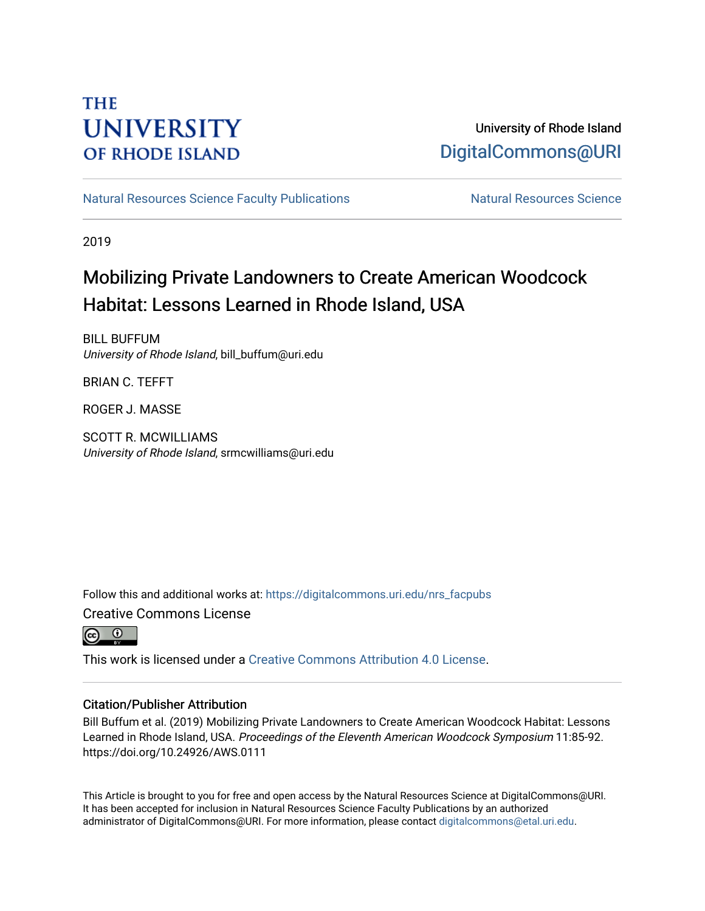### **THE UNIVERSITY OF RHODE ISLAND**

### University of Rhode Island [DigitalCommons@URI](https://digitalcommons.uri.edu/)

[Natural Resources Science Faculty Publications](https://digitalcommons.uri.edu/nrs_facpubs) Natural Resources Science

2019

## Mobilizing Private Landowners to Create American Woodcock Habitat: Lessons Learned in Rhode Island, USA

BILL BUFFUM University of Rhode Island, bill\_buffum@uri.edu

BRIAN C. TEFFT

ROGER J. MASSE

SCOTT R. MCWILLIAMS University of Rhode Island, srmcwilliams@uri.edu

Follow this and additional works at: [https://digitalcommons.uri.edu/nrs\\_facpubs](https://digitalcommons.uri.edu/nrs_facpubs?utm_source=digitalcommons.uri.edu%2Fnrs_facpubs%2F169&utm_medium=PDF&utm_campaign=PDFCoverPages)  Creative Commons License



This work is licensed under a [Creative Commons Attribution 4.0 License](https://creativecommons.org/licenses/by/4.0/).

### Citation/Publisher Attribution

Bill Buffum et al. (2019) Mobilizing Private Landowners to Create American Woodcock Habitat: Lessons Learned in Rhode Island, USA. Proceedings of the Eleventh American Woodcock Symposium 11:85-92. https://doi.org/10.24926/AWS.0111

This Article is brought to you for free and open access by the Natural Resources Science at DigitalCommons@URI. It has been accepted for inclusion in Natural Resources Science Faculty Publications by an authorized administrator of DigitalCommons@URI. For more information, please contact [digitalcommons@etal.uri.edu.](mailto:digitalcommons@etal.uri.edu)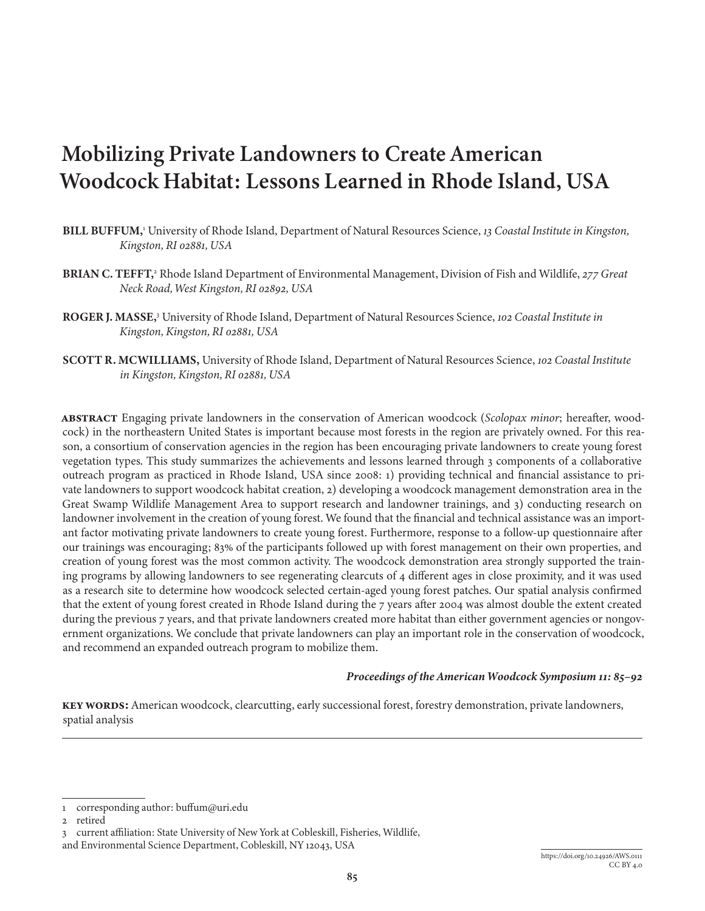# **Mobilizing Private Landowners to Create American Woodcock Habitat: Lessons Learned in Rhode Island, USA**

- **BILL BUFFUM,**<sup>1</sup> University of Rhode Island, Department of Natural Resources Science, *13 Coastal Institute in Kingston, Kingston, RI 02881, USA*
- **BRIAN C. TEFFT,**<sup>2</sup> Rhode Island Department of Environmental Management, Division of Fish and Wildlife, *277 Great Neck Road, West Kingston, RI 02892, USA*
- **ROGER J. MASSE,**<sup>3</sup> University of Rhode Island, Department of Natural Resources Science, *102 Coastal Institute in Kingston, Kingston, RI 02881, USA*
- **SCOTT R. MCWILLIAMS,** University of Rhode Island, Department of Natural Resources Science, *102 Coastal Institute in Kingston, Kingston, RI 02881, USA*

**ABSTRACT** Engaging private landowners in the conservation of American woodcock (*Scolopax minor*; hereafter, woodcock) in the northeastern United States is important because most forests in the region are privately owned. For this reason, a consortium of conservation agencies in the region has been encouraging private landowners to create young forest vegetation types. This study summarizes the achievements and lessons learned through 3 components of a collaborative outreach program as practiced in Rhode Island, USA since 2008: 1) providing technical and financial assistance to private landowners to support woodcock habitat creation, 2) developing a woodcock management demonstration area in the Great Swamp Wildlife Management Area to support research and landowner trainings, and 3) conducting research on landowner involvement in the creation of young forest. We found that the financial and technical assistance was an important factor motivating private landowners to create young forest. Furthermore, response to a follow-up questionnaire after our trainings was encouraging; 83% of the participants followed up with forest management on their own properties, and creation of young forest was the most common activity. The woodcock demonstration area strongly supported the training programs by allowing landowners to see regenerating clearcuts of 4 different ages in close proximity, and it was used as a research site to determine how woodcock selected certain-aged young forest patches. Our spatial analysis confirmed that the extent of young forest created in Rhode Island during the 7 years after 2004 was almost double the extent created during the previous 7 years, and that private landowners created more habitat than either government agencies or nongovernment organizations. We conclude that private landowners can play an important role in the conservation of woodcock, and recommend an expanded outreach program to mobilize them.

#### *Proceedings of the American Woodcock Symposium 11: 85–[92](#page-8-0)*

**Key words:** American woodcock, clearcutting, early successional forest, forestry demonstration, private landowners, spatial analysis

<sup>1</sup> corresponding author: buffum@uri.edu

<sup>2</sup> retired

<sup>3</sup> current affiliation: State University of New York at Cobleskill, Fisheries, Wildlife,

and Environmental Science Department, Cobleskill, NY 12043, USA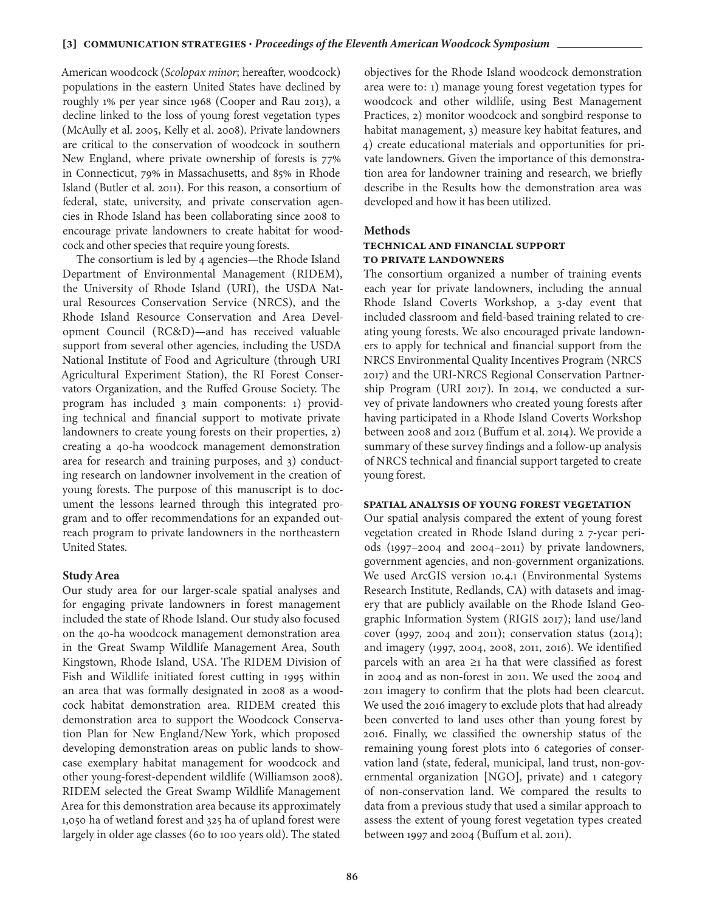American woodcock (*Scolopax minor*; hereafter, woodcock) populations in the eastern United States have declined by roughly 1% per year since 1968 (Cooper and Rau 2013), a decline linked to the loss of young forest vegetation types (McAully et al. 2005, Kelly et al. 2008). Private landowners are critical to the conservation of woodcock in southern New England, where private ownership of forests is 77% in Connecticut, 79% in Massachusetts, and 85% in Rhode Island (Butler et al. 2011). For this reason, a consortium of federal, state, university, and private conservation agencies in Rhode Island has been collaborating since 2008 to encourage private landowners to create habitat for woodcock and other species that require young forests.

The consortium is led by 4 agencies—the Rhode Island Department of Environmental Management (RIDEM), the University of Rhode Island (URI), the USDA Natural Resources Conservation Service (NRCS), and the Rhode Island Resource Conservation and Area Development Council (RC&D)—and has received valuable support from several other agencies, including the USDA National Institute of Food and Agriculture (through URI Agricultural Experiment Station), the RI Forest Conservators Organization, and the Ruffed Grouse Society. The program has included 3 main components: 1) providing technical and financial support to motivate private landowners to create young forests on their properties, 2) creating a 40-ha woodcock management demonstration area for research and training purposes, and 3) conducting research on landowner involvement in the creation of young forests. The purpose of this manuscript is to document the lessons learned through this integrated program and to offer recommendations for an expanded outreach program to private landowners in the northeastern United States.

#### **Study Area**

Our study area for our larger-scale spatial analyses and for engaging private landowners in forest management included the state of Rhode Island. Our study also focused on the 40-ha woodcock management demonstration area in the Great Swamp Wildlife Management Area, South Kingstown, Rhode Island, USA. The RIDEM Division of Fish and Wildlife initiated forest cutting in 1995 within an area that was formally designated in 2008 as a woodcock habitat demonstration area. RIDEM created this demonstration area to support the Woodcock Conservation Plan for New England/New York, which proposed developing demonstration areas on public lands to showcase exemplary habitat management for woodcock and other young-forest-dependent wildlife (Williamson 2008). RIDEM selected the Great Swamp Wildlife Management Area for this demonstration area because its approximately 1,050 ha of wetland forest and 325 ha of upland forest were largely in older age classes (60 to 100 years old). The stated

objectives for the Rhode Island woodcock demonstration area were to: 1) manage young forest vegetation types for woodcock and other wildlife, using Best Management Practices, 2) monitor woodcock and songbird response to habitat management, 3) measure key habitat features, and 4) create educational materials and opportunities for private landowners. Given the importance of this demonstration area for landowner training and research, we briefly describe in the Results how the demonstration area was developed and how it has been utilized.

#### **Methods**

#### **Technical and financial support to private landowners**

The consortium organized a number of training events each year for private landowners, including the annual Rhode Island Coverts Workshop, a 3-day event that included classroom and field-based training related to creating young forests. We also encouraged private landowners to apply for technical and financial support from the NRCS Environmental Quality Incentives Program (NRCS 2017) and the URI-NRCS Regional Conservation Partnership Program (URI 2017). In 2014, we conducted a survey of private landowners who created young forests after having participated in a Rhode Island Coverts Workshop between 2008 and 2012 (Buffum et al. 2014). We provide a summary of these survey findings and a follow-up analysis of NRCS technical and financial support targeted to create young forest.

#### **Spatial analysis of young forest vegetation**

Our spatial analysis compared the extent of young forest vegetation created in Rhode Island during 2 7-year periods (1997–2004 and 2004–2011) by private landowners, government agencies, and non-government organizations. We used ArcGIS version 10.4.1 (Environmental Systems Research Institute, Redlands, CA) with datasets and imagery that are publicly available on the Rhode Island Geographic Information System (RIGIS 2017); land use/land cover (1997, 2004 and 2011); conservation status (2014); and imagery (1997, 2004, 2008, 2011, 2016). We identified parcels with an area ≥1 ha that were classified as forest in 2004 and as non-forest in 2011. We used the 2004 and 2011 imagery to confirm that the plots had been clearcut. We used the 2016 imagery to exclude plots that had already been converted to land uses other than young forest by 2016. Finally, we classified the ownership status of the remaining young forest plots into 6 categories of conservation land (state, federal, municipal, land trust, non-governmental organization [NGO], private) and 1 category of non-conservation land. We compared the results to data from a previous study that used a similar approach to assess the extent of young forest vegetation types created between 1997 and 2004 (Buffum et al. 2011).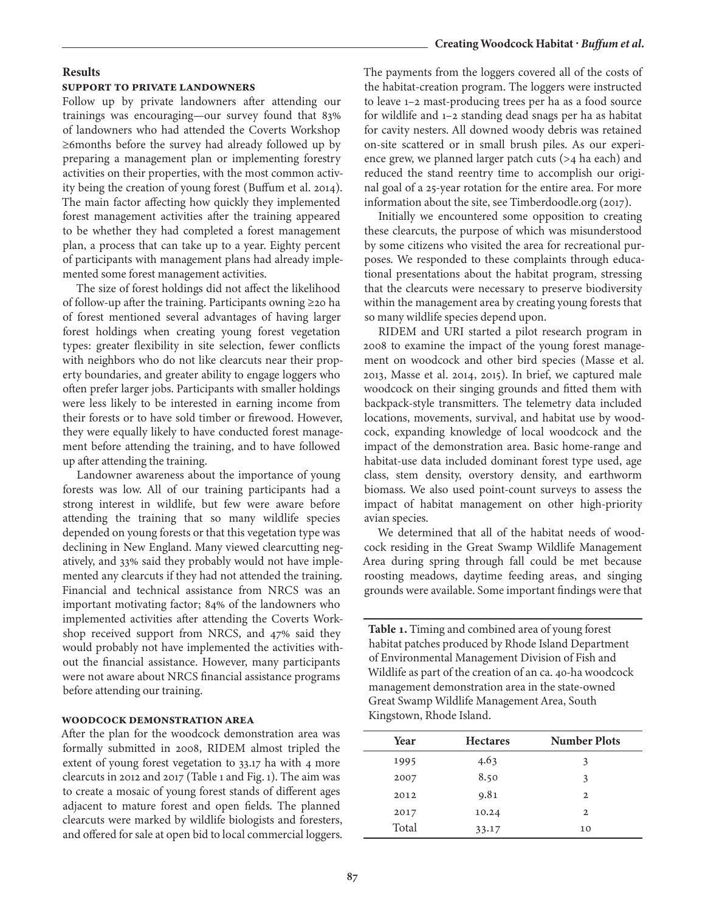#### **Creating Woodcock Habitat ·** *Buffum et al.*

#### **Results**

#### **Support to private landowners**

Follow up by private landowners after attending our trainings was encouraging—our survey found that 83% of landowners who had attended the Coverts Workshop ≥6months before the survey had already followed up by preparing a management plan or implementing forestry activities on their properties, with the most common activity being the creation of young forest (Buffum et al. 2014). The main factor affecting how quickly they implemented forest management activities after the training appeared to be whether they had completed a forest management plan, a process that can take up to a year. Eighty percent of participants with management plans had already implemented some forest management activities.

The size of forest holdings did not affect the likelihood of follow-up after the training. Participants owning ≥20 ha of forest mentioned several advantages of having larger forest holdings when creating young forest vegetation types: greater flexibility in site selection, fewer conflicts with neighbors who do not like clearcuts near their property boundaries, and greater ability to engage loggers who often prefer larger jobs. Participants with smaller holdings were less likely to be interested in earning income from their forests or to have sold timber or firewood. However, they were equally likely to have conducted forest management before attending the training, and to have followed up after attending the training.

Landowner awareness about the importance of young forests was low. All of our training participants had a strong interest in wildlife, but few were aware before attending the training that so many wildlife species depended on young forests or that this vegetation type was declining in New England. Many viewed clearcutting negatively, and 33% said they probably would not have implemented any clearcuts if they had not attended the training. Financial and technical assistance from NRCS was an important motivating factor; 84% of the landowners who implemented activities after attending the Coverts Workshop received support from NRCS, and 47% said they would probably not have implemented the activities without the financial assistance. However, many participants were not aware about NRCS financial assistance programs before attending our training.

#### **Woodcock demonstration Area**

After the plan for the woodcock demonstration area was formally submitted in 2008, RIDEM almost tripled the extent of young forest vegetation to 33.17 ha with 4 more clearcuts in 2012 and 2017 (Table 1 and Fig. 1). The aim was to create a mosaic of young forest stands of different ages adjacent to mature forest and open fields. The planned clearcuts were marked by wildlife biologists and foresters, and offered for sale at open bid to local commercial loggers. The payments from the loggers covered all of the costs of the habitat-creation program. The loggers were instructed to leave 1–2 mast-producing trees per ha as a food source for wildlife and 1–2 standing dead snags per ha as habitat for cavity nesters. All downed woody debris was retained on-site scattered or in small brush piles. As our experience grew, we planned larger patch cuts (>4 ha each) and reduced the stand reentry time to accomplish our original goal of a 25-year rotation for the entire area. For more information about the site, see Timberdoodle.org (2017).

Initially we encountered some opposition to creating these clearcuts, the purpose of which was misunderstood by some citizens who visited the area for recreational purposes. We responded to these complaints through educational presentations about the habitat program, stressing that the clearcuts were necessary to preserve biodiversity within the management area by creating young forests that so many wildlife species depend upon.

RIDEM and URI started a pilot research program in 2008 to examine the impact of the young forest management on woodcock and other bird species (Masse et al. 2013, Masse et al. 2014, 2015). In brief, we captured male woodcock on their singing grounds and fitted them with backpack-style transmitters. The telemetry data included locations, movements, survival, and habitat use by woodcock, expanding knowledge of local woodcock and the impact of the demonstration area. Basic home-range and habitat-use data included dominant forest type used, age class, stem density, overstory density, and earthworm biomass. We also used point-count surveys to assess the impact of habitat management on other high-priority avian species.

We determined that all of the habitat needs of woodcock residing in the Great Swamp Wildlife Management Area during spring through fall could be met because roosting meadows, daytime feeding areas, and singing grounds were available. Some important findings were that

**Table 1.** Timing and combined area of young forest habitat patches produced by Rhode Island Department of Environmental Management Division of Fish and Wildlife as part of the creation of an ca. 40-ha woodcock management demonstration area in the state-owned Great Swamp Wildlife Management Area, South Kingstown, Rhode Island.

| Year  | <b>Hectares</b> | <b>Number Plots</b> |  |  |
|-------|-----------------|---------------------|--|--|
| 1995  | 4.63            | 3                   |  |  |
| 2007  | 8.50            | 3                   |  |  |
| 2012  | 9.81            | $\mathbf{2}$        |  |  |
| 2017  | 10.24           | $\mathbf{2}$        |  |  |
| Total | 33.17           | 10                  |  |  |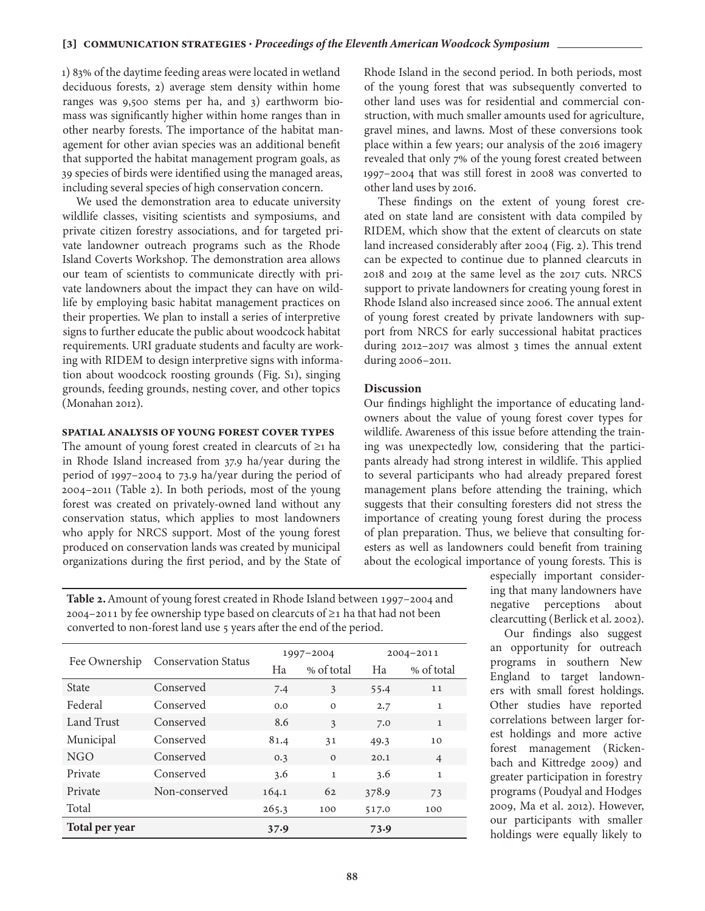1) 83% of the daytime feeding areas were located in wetland deciduous forests, 2) average stem density within home ranges was 9,500 stems per ha, and 3) earthworm biomass was significantly higher within home ranges than in other nearby forests. The importance of the habitat management for other avian species was an additional benefit that supported the habitat management program goals, as 39 species of birds were identified using the managed areas, including several species of high conservation concern.

We used the demonstration area to educate university wildlife classes, visiting scientists and symposiums, and private citizen forestry associations, and for targeted private landowner outreach programs such as the Rhode Island Coverts Workshop. The demonstration area allows our team of scientists to communicate directly with private landowners about the impact they can have on wildlife by employing basic habitat management practices on their properties. We plan to install a series of interpretive signs to further educate the public about woodcock habitat requirements. URI graduate students and faculty are working with RIDEM to design interpretive signs with information about woodcock roosting grounds (Fig. S1), singing grounds, feeding grounds, nesting cover, and other topics (Monahan 2012).

#### **Spatial analysis of young forest cover types**

The amount of young forest created in clearcuts of ≥1 ha in Rhode Island increased from 37.9 ha/year during the period of 1997–2004 to 73.9 ha/year during the period of 2004–2011 (Table 2). In both periods, most of the young forest was created on privately-owned land without any conservation status, which applies to most landowners who apply for NRCS support. Most of the young forest produced on conservation lands was created by municipal organizations during the first period, and by the State of Rhode Island in the second period. In both periods, most of the young forest that was subsequently converted to other land uses was for residential and commercial construction, with much smaller amounts used for agriculture, gravel mines, and lawns. Most of these conversions took place within a few years; our analysis of the 2016 imagery revealed that only 7% of the young forest created between 1997–2004 that was still forest in 2008 was converted to other land uses by 2016.

These findings on the extent of young forest created on state land are consistent with data compiled by RIDEM, which show that the extent of clearcuts on state land increased considerably after 2004 (Fig. 2). This trend can be expected to continue due to planned clearcuts in 2018 and 2019 at the same level as the 2017 cuts. NRCS support to private landowners for creating young forest in Rhode Island also increased since 2006. The annual extent of young forest created by private landowners with support from NRCS for early successional habitat practices during 2012–2017 was almost 3 times the annual extent during 2006–2011.

#### **Discussion**

Our findings highlight the importance of educating landowners about the value of young forest cover types for wildlife. Awareness of this issue before attending the training was unexpectedly low, considering that the participants already had strong interest in wildlife. This applied to several participants who had already prepared forest management plans before attending the training, which suggests that their consulting foresters did not stress the importance of creating young forest during the process of plan preparation. Thus, we believe that consulting foresters as well as landowners could benefit from training about the ecological importance of young forests. This is

**Table 2.** Amount of young forest created in Rhode Island between 1997–2004 and 2004–2011 by fee ownership type based on clearcuts of ≥1 ha that had not been converted to non-forest land use 5 years after the end of the period.

|                | <b>Conservation Status</b> | 1997-2004 |              | $2004 - 2011$ |                |
|----------------|----------------------------|-----------|--------------|---------------|----------------|
| Fee Ownership  |                            | Ha        | % of total   | Ha            | % of total     |
| <b>State</b>   | Conserved                  | 7.4       | 3            | 55.4          | 11             |
| Federal        | Conserved                  | 0.0       | $\Omega$     | 2.7           | $\mathbf{1}$   |
| Land Trust     | Conserved                  | 8.6       | 3            | 7.0           | $\mathbf{1}$   |
| Municipal      | Conserved                  | 81.4      | 31           | 49.3          | 10             |
| NGO            | Conserved                  | 0.3       | $\Omega$     | 20.1          | $\overline{4}$ |
| Private        | Conserved                  | 3.6       | $\mathbf{1}$ | 3.6           | $\mathbf{1}$   |
| Private        | Non-conserved              | 164.1     | 62           | 378.9         | 73             |
| Total          |                            | 265.3     | 100          | 517.0         | 100            |
| Total per year |                            | 37.9      |              | 73.9          |                |

especially important considering that many landowners have negative perceptions about clearcutting (Berlick et al. 2002).

Our findings also suggest an opportunity for outreach programs in southern New England to target landowners with small forest holdings. Other studies have reported correlations between larger forest holdings and more active forest management (Rickenbach and Kittredge 2009) and greater participation in forestry programs (Poudyal and Hodges 2009, Ma et al. 2012). However, our participants with smaller holdings were equally likely to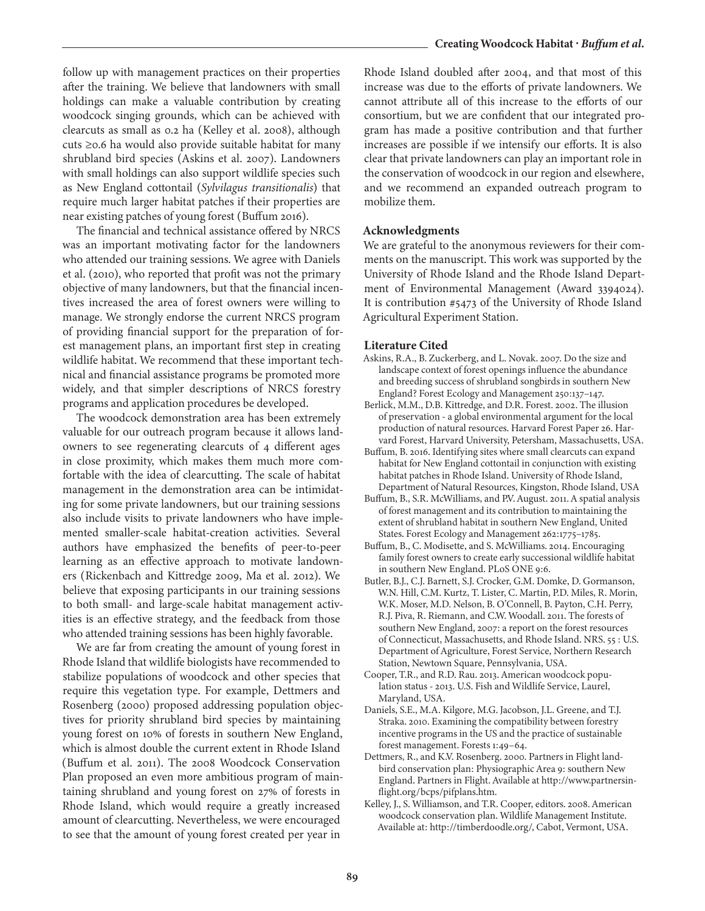follow up with management practices on their properties after the training. We believe that landowners with small holdings can make a valuable contribution by creating woodcock singing grounds, which can be achieved with clearcuts as small as 0.2 ha (Kelley et al. 2008), although cuts ≥0.6 ha would also provide suitable habitat for many shrubland bird species (Askins et al. 2007). Landowners with small holdings can also support wildlife species such as New England cottontail (*Sylvilagus transitionalis*) that require much larger habitat patches if their properties are near existing patches of young forest (Buffum 2016).

The financial and technical assistance offered by NRCS was an important motivating factor for the landowners who attended our training sessions. We agree with Daniels et al. (2010), who reported that profit was not the primary objective of many landowners, but that the financial incentives increased the area of forest owners were willing to manage. We strongly endorse the current NRCS program of providing financial support for the preparation of forest management plans, an important first step in creating wildlife habitat. We recommend that these important technical and financial assistance programs be promoted more widely, and that simpler descriptions of NRCS forestry programs and application procedures be developed.

The woodcock demonstration area has been extremely valuable for our outreach program because it allows landowners to see regenerating clearcuts of 4 different ages in close proximity, which makes them much more comfortable with the idea of clearcutting. The scale of habitat management in the demonstration area can be intimidating for some private landowners, but our training sessions also include visits to private landowners who have implemented smaller-scale habitat-creation activities. Several authors have emphasized the benefits of peer-to-peer learning as an effective approach to motivate landowners (Rickenbach and Kittredge 2009, Ma et al. 2012). We believe that exposing participants in our training sessions to both small- and large-scale habitat management activities is an effective strategy, and the feedback from those who attended training sessions has been highly favorable.

We are far from creating the amount of young forest in Rhode Island that wildlife biologists have recommended to stabilize populations of woodcock and other species that require this vegetation type. For example, Dettmers and Rosenberg (2000) proposed addressing population objectives for priority shrubland bird species by maintaining young forest on 10% of forests in southern New England, which is almost double the current extent in Rhode Island (Buffum et al. 2011). The 2008 Woodcock Conservation Plan proposed an even more ambitious program of maintaining shrubland and young forest on 27% of forests in Rhode Island, which would require a greatly increased amount of clearcutting. Nevertheless, we were encouraged to see that the amount of young forest created per year in

Rhode Island doubled after 2004, and that most of this increase was due to the efforts of private landowners. We cannot attribute all of this increase to the efforts of our consortium, but we are confident that our integrated program has made a positive contribution and that further increases are possible if we intensify our efforts. It is also clear that private landowners can play an important role in the conservation of woodcock in our region and elsewhere, and we recommend an expanded outreach program to mobilize them.

#### **Acknowledgments**

We are grateful to the anonymous reviewers for their comments on the manuscript. This work was supported by the University of Rhode Island and the Rhode Island Department of Environmental Management (Award 3394024). It is contribution #5473 of the University of Rhode Island Agricultural Experiment Station.

#### **Literature Cited**

- Askins, R.A., B. Zuckerberg, and L. Novak. 2007. Do the size and landscape context of forest openings influence the abundance and breeding success of shrubland songbirds in southern New England? Forest Ecology and Management 250:137–147.
- Berlick, M.M., D.B. Kittredge, and D.R. Forest. 2002. The illusion of preservation - a global environmental argument for the local production of natural resources. Harvard Forest Paper 26. Harvard Forest, Harvard University, Petersham, Massachusetts, USA.
- Buffum, B. 2016. Identifying sites where small clearcuts can expand habitat for New England cottontail in conjunction with existing habitat patches in Rhode Island. University of Rhode Island, Department of Natural Resources, Kingston, Rhode Island, USA
- Buffum, B., S.R. McWilliams, and P.V. August. 2011. A spatial analysis of forest management and its contribution to maintaining the extent of shrubland habitat in southern New England, United States. Forest Ecology and Management 262:1775–1785.
- Buffum, B., C. Modisette, and S. McWilliams. 2014. Encouraging family forest owners to create early successional wildlife habitat in southern New England. PLoS ONE 9:6.
- Butler, B.J., C.J. Barnett, S.J. Crocker, G.M. Domke, D. Gormanson, W.N. Hill, C.M. Kurtz, T. Lister, C. Martin, P.D. Miles, R. Morin, W.K. Moser, M.D. Nelson, B. O'Connell, B. Payton, C.H. Perry, R.J. Piva, R. Riemann, and C.W. Woodall. 2011. The forests of southern New England, 2007: a report on the forest resources of Connecticut, Massachusetts, and Rhode Island. NRS. 55 : U.S. Department of Agriculture, Forest Service, Northern Research Station, Newtown Square, Pennsylvania, USA.
- Cooper, T.R., and R.D. Rau. 2013. American woodcock population status - 2013. U.S. Fish and Wildlife Service, Laurel, Maryland, USA.
- Daniels, S.E., M.A. Kilgore, M.G. Jacobson, J.L. Greene, and T.J. Straka. 2010. Examining the compatibility between forestry incentive programs in the US and the practice of sustainable forest management. Forests 1:49–64.
- Dettmers, R., and K.V. Rosenberg. 2000. Partners in Flight landbird conservation plan: Physiographic Area 9: southern New England. Partners in Flight. Available at http://www.partnersinflight.org/bcps/pifplans.htm.
- Kelley, J., S. Williamson, and T.R. Cooper, editors. 2008. American woodcock conservation plan. Wildlife Management Institute. Available at: http://timberdoodle.org/, Cabot, Vermont, USA.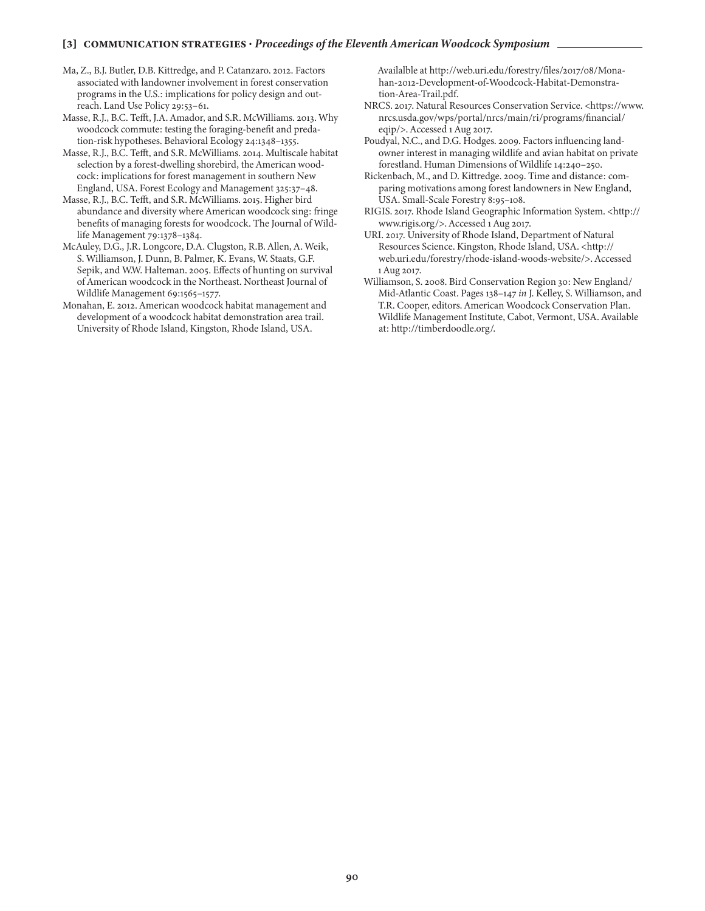#### **[3] communication strategies ·** *Proceedings of the Eleventh American Woodcock Symposium*

- Ma, Z., B.J. Butler, D.B. Kittredge, and P. Catanzaro. 2012. Factors associated with landowner involvement in forest conservation programs in the U.S.: implications for policy design and outreach. Land Use Policy 29:53–61.
- Masse, R.J., B.C. Tefft, J.A. Amador, and S.R. McWilliams. 2013. Why woodcock commute: testing the foraging-benefit and predation-risk hypotheses. Behavioral Ecology 24:1348–1355.
- Masse, R.J., B.C. Tefft, and S.R. McWilliams. 2014. Multiscale habitat selection by a forest-dwelling shorebird, the American woodcock: implications for forest management in southern New England, USA. Forest Ecology and Management 325:37–48.
- Masse, R.J., B.C. Tefft, and S.R. McWilliams. 2015. Higher bird abundance and diversity where American woodcock sing: fringe benefits of managing forests for woodcock. The Journal of Wildlife Management 79:1378–1384.
- McAuley, D.G., J.R. Longcore, D.A. Clugston, R.B. Allen, A. Weik, S. Williamson, J. Dunn, B. Palmer, K. Evans, W. Staats, G.F. Sepik, and W.W. Halteman. 2005. Effects of hunting on survival of American woodcock in the Northeast. Northeast Journal of Wildlife Management 69:1565–1577.
- Monahan, E. 2012. American woodcock habitat management and development of a woodcock habitat demonstration area trail. University of Rhode Island, Kingston, Rhode Island, USA.

Availalble at http://web.uri.edu/forestry/files/2017/08/Monahan-2012-Development-of-Woodcock-Habitat-Demonstration-Area-Trail.pdf.

- NRCS. 2017. Natural Resources Conservation Service. <https://www. nrcs.usda.gov/wps/portal/nrcs/main/ri/programs/financial/ eqip/>. Accessed 1 Aug 2017.
- Poudyal, N.C., and D.G. Hodges. 2009. Factors influencing landowner interest in managing wildlife and avian habitat on private forestland. Human Dimensions of Wildlife 14:240–250.
- Rickenbach, M., and D. Kittredge. 2009. Time and distance: comparing motivations among forest landowners in New England, USA. Small-Scale Forestry 8:95–108.
- RIGIS. 2017. Rhode Island Geographic Information System. <http:// www.rigis.org/>. Accessed 1 Aug 2017.
- URI. 2017. University of Rhode Island, Department of Natural Resources Science. Kingston, Rhode Island, USA. <http:// web.uri.edu/forestry/rhode-island-woods-website/>. Accessed 1 Aug 2017.
- Williamson, S. 2008. Bird Conservation Region 30: New England/ Mid-Atlantic Coast. Pages 138–147 *in* J. Kelley, S. Williamson, and T.R. Cooper, editors. American Woodcock Conservation Plan. Wildlife Management Institute, Cabot, Vermont, USA. Available at: http://timberdoodle.org/.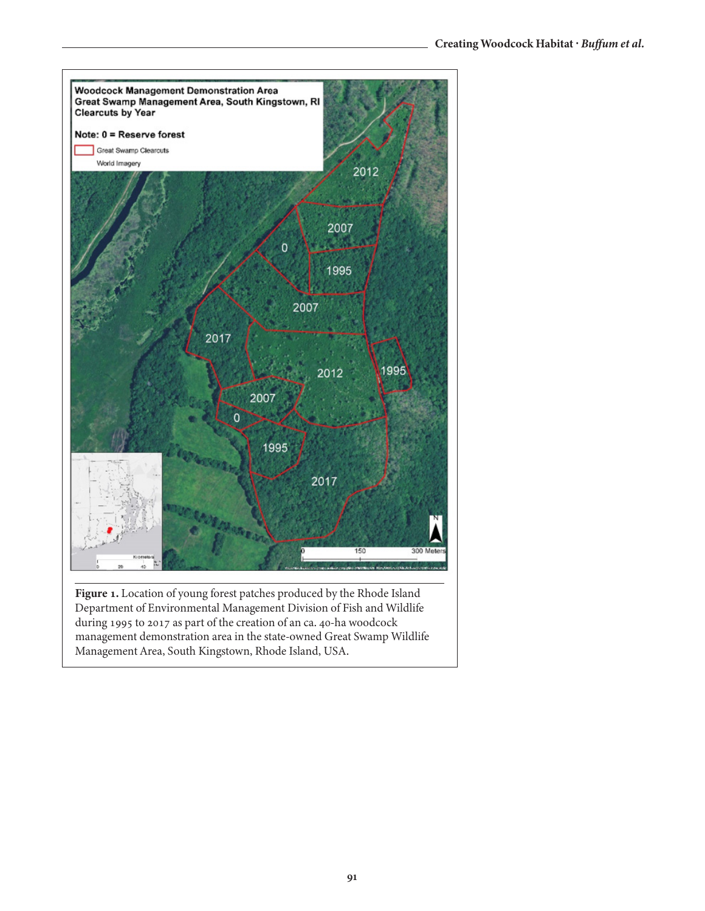

**Figure 1.** Location of young forest patches produced by the Rhode Island Department of Environmental Management Division of Fish and Wildlife during 1995 to 2017 as part of the creation of an ca. 40-ha woodcock management demonstration area in the state-owned Great Swamp Wildlife Management Area, South Kingstown, Rhode Island, USA.